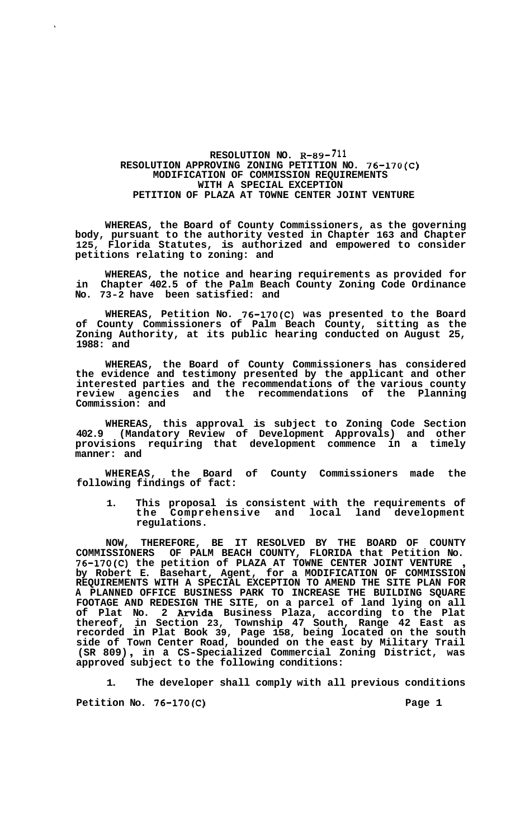## **RESOLUTION NO. R-89-711 RESOLUTION APPROVING ZONING PETITION NO. 76-170(C) MODIFICATION OF COMMISSION REQUIREMENTS WITH A SPECIAL EXCEPTION PETITION OF PLAZA AT TOWNE CENTER JOINT VENTURE**

**WHEREAS, the Board of County Commissioners, as the governing body, pursuant to the authority vested in Chapter 163 and Chapter 125, Florida Statutes, is authorized and empowered to consider petitions relating to zoning: and** 

**WHEREAS, the notice and hearing requirements as provided for in Chapter 402.5 of the Palm Beach County Zoning Code Ordinance No. 73-2 have been satisfied: and** 

**WHEREAS, Petition No. 76-170(C) was presented to the Board of County Commissioners of Palm Beach Zoning Authority, at its public hearing 1988: and County, sitting as the conducted on August 25,** 

**WHEREAS, the Board of County Commissioners has considered the evidence and testimony presented by the applicant and other interested parties and the recommendations of the various county review agencies and the recommendations of the Planning Commission: and** 

**WHEREAS, this approval is subject to Zoning Code Section 402.9 (Mandatory Review of Development Approvals) and other provisions requiring that development commence in a timely manner: and** 

**WHEREAS, the Board of County Commissioners made the following findings of fact:** 

**1. This proposal is consistent with the requirements of the Comprehensive and local land development regulations.** 

**NOW, THEREFORE, BE IT RESOLVED BY THE BOARD OF COUNTY COMMISSIONERS OF PALM BEACH COUNTY, FLORIDA that Petition No. 76-170(C) the petition of PLAZA AT TOWNE CENTER JOINT VENTURE** , **by Robert E. Basehart, Agent, for a MODIFICATION OF COMMISSION REQUIREMENTS WITH A SPECIAL EXCEPTION TO AMEND THE SITE PLAN FOR A PLANNED OFFICE BUSINESS PARK TO INCREASE THE BUILDING SQUARE FOOTAGE AND REDESIGN THE SITE, on a parcel of land lying on all of Plat No. 2 Awida Business Plaza, according to the Plat thereof, in Section 23, Township 47 South, Range 42 East as recorded in Plat Book 39, Page 158, being located on the south side of Town Center Road, bounded on the east by Military Trail**  , **in a CS-Specialized Commercial Zoning District, was (SR 809) subject to the following conditions: approved** 

**1. The developer shall comply with all previous conditions** 

**Petition NO. 76-170(C) Page 1**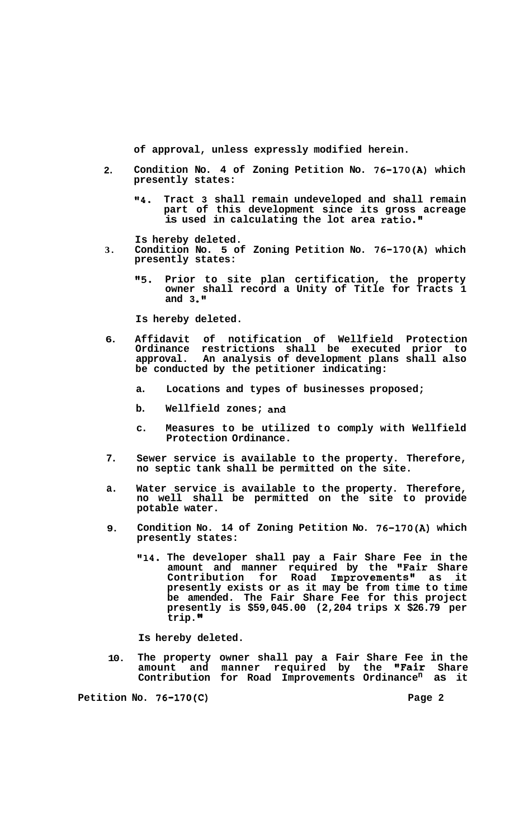**of approval, unless expressly modified herein.** 

- **Condition No. 4 of Zoning Petition No. 76-170(A) which presently states: 2.** 
	- **"4. Tract 3 shall remain undeveloped and shall remain part of this development since its gross acreage is used in calculating the lot area ratio."**

**Is hereby deleted.** 

- **3. Condition No. 5 of Zoning Petition No. 76-170(A) which presently states:** 
	- **"5. Prior to site plan certification, the property owner shall record a Unity of Title for Tracts 1**  and 3.<sup> $\blacksquare$ </sup>

**Is hereby deleted.** 

- **6. Affidavit of notification of Wellf ield Protection Ordinance restrictions shall be executed prior to approval. An analysis of development plans shall also be conducted by the petitioner indicating:** 
	- **a. Locations and types of businesses proposed;**
	- **b. Wellfield zones; and**
	- **c. Measures to be utilized to comply with Wellfield Protection Ordinance.**
- **7. Sewer service is available to the property. Therefore, no septic tank shall be permitted on the site.**
- **a. Water service is available to the property. Therefore, no well shall be permitted on the site to provide potable water.**
- **9. Condition No. 14 of Zoning Petition No. 76-170(A) which presently states:** 
	- **Il14. The developer shall pay a Fair Share Fee in the amount and manner required by the "Fair Share Contribution for Road Improvements" as it presently exists or as it may be from time to time be amended. The Fair Share Fee for this project presently is \$59,045.00 (2,204 trips x \$26.79 per trip.**

**Is hereby deleted.** 

**10. The property owner shall pay a Fair Share Fee in the amount and manner required by the "Fair Share Contribution for Road Improvements Ordinancen as it** 

Petition No. 76-170(C) **Page 2 Page 2**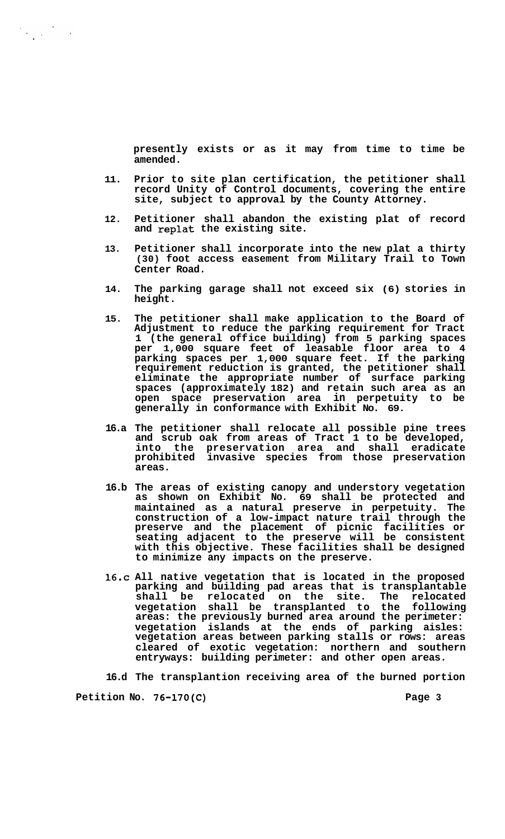**presently exists or as it may from time to time be amended.** 

- **11. Prior to site plan certification, the petitioner shall record Unity of Control documents, covering the entire site, subject to approval by the County Attorney.**
- **12. Petitioner shall abandon the existing plat of record and replat the existing site.**
- **13. Petitioner shall incorporate into the new plat a thirty (30) foot access easement from Military Trail to Town Center Road.**
- **14. The parking garage shall not exceed six (6) stories in height.**
- **15. The petitioner shall make application to the Board of Adjustment to reduce the parking requirement for Tract 1 (the general off ice building) from 5 parking spaces per 1,000 square feet of leasable floor area to 4 parking spaces per 1,000 square feet. If the parking requirement reduction is granted, the petitioner shall eliminate the appropriate number of surface parking spaces (approximately 182) and retain such area as an open space preservation area in perpetuity to be generally in conformance with Exhibit No. 69.**
- **16.a The petitioner shall relocate all possible pine trees and scrub oak from areas of Tract 1 to be developed, into the preservation area and shall eradicate prohibited invasive species from those preservation areas.**
- **16.b The areas of existing canopy and understory vegetation as shown on Exhibit No. 69 shall be protected and maintained as a natural preserve in perpetuity. The construction of a low-impact nature trail through the preserve and the placement of picnic facilities or seating adjacent to the preserve will be consistent with this objective. These facilities shall be designed to minimize any impacts on the preserve.**
- **16.c All native vegetation that is located in the proposed parking and building pad areas that is transplantable shall be relocated on the site. The relocated vegetation shall be transplanted to the following areas: the previously burned area around the perimeter: vegetation islands at the ends of parking aisles: vegetation areas between parking stalls or rows: areas cleared of exotic vegetation: northern and southern entryways: building perimeter: and other open areas.**

**16.d The transplantion receiving area of the burned portion** 

Petition No. 76-170(C) **Page 3 Page 3** 

 $\label{eq:2} \frac{1}{2}\sum_{i=1}^n\frac{1}{2}\sum_{j=1}^n\frac{1}{2}\sum_{j=1}^n\frac{1}{2}\sum_{j=1}^n\frac{1}{2}\sum_{j=1}^n\frac{1}{2}\sum_{j=1}^n\frac{1}{2}\sum_{j=1}^n\frac{1}{2}\sum_{j=1}^n\frac{1}{2}\sum_{j=1}^n\frac{1}{2}\sum_{j=1}^n\frac{1}{2}\sum_{j=1}^n\frac{1}{2}\sum_{j=1}^n\frac{1}{2}\sum_{j=1}^n\frac{1}{2}\sum_{j=1}^n\frac{$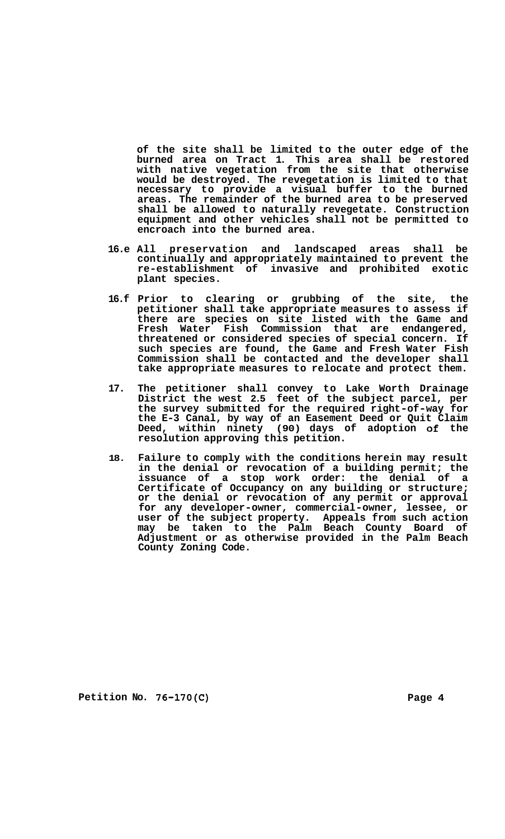**of the site shall be limited to the outer edge of the burned area on Tract 1. This area shall be restored with native vegetation from the site that otherwise would be destroyed. The revegetation is limited to that necessary to provide a visual buffer to the burned areas. The remainder of the burned area to be preserved shall be allowed to naturally revegetate. Construction equipment and other vehicles shall not be permitted to encroach into the burned area.** 

- **16.e All preservation and landscaped areas shall be continually and appropriately maintained to prevent the re-establishment of invasive and prohibited exotic plant species.**
- **16.f Prior to clearing or grubbing of the site, the petitioner shall take appropriate measures to assess if there are species on site listed with the Game and Fresh Water Fish Commission that are endangered, threatened or considered species of special concern. If such species are found, the Game and Fresh Water Fish Commission shall be contacted and the developer shall take appropriate measures to relocate and protect them.**
- **17. The petitioner shall convey to Lake Worth Drainage District the west 2.5 feet of the subject parcel, per the survey submitted for the required right-of-way for the E-3 Canal, by way of an Easement Deed or Quit Claim Deed, within ninety (90) days of adoption of the resolution approving this petition.**
- **18. Failure to comply with the conditions herein may result in the denial or revocation of a building permit; the issuance of a stop work order: the denial of a Certificate of Occupancy on any building or structure; or the denial or revocation of any permit or approval for any developer-owner, commercial-owner, lessee, or user of the subject property. Appeals from such action may be taken to the Palm Beach County Board of Adjustment or as otherwise provided in the Palm Beach County Zoning Code.**

Petition No. 76-170(C) **Page 4 Page 4**